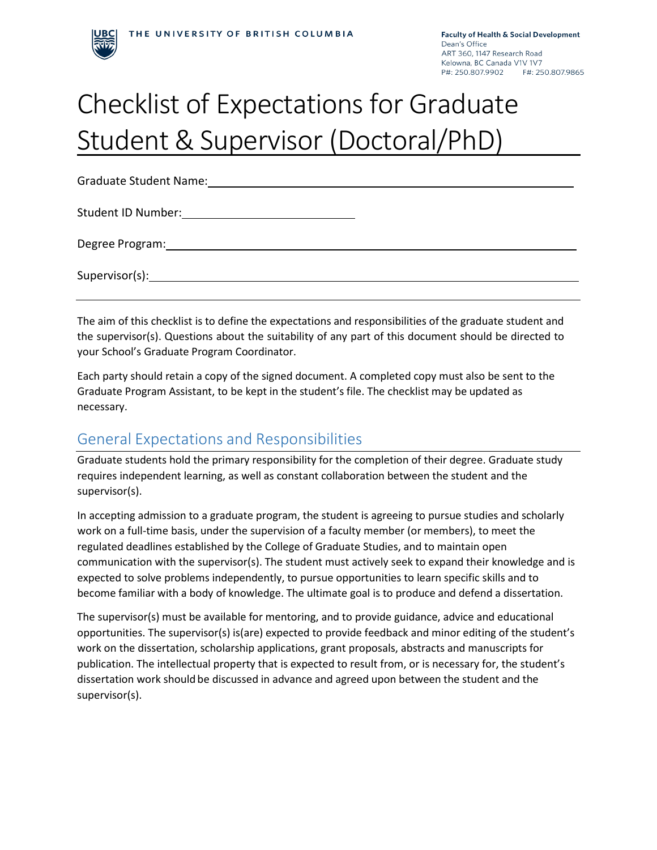

# Checklist of Expectations for Graduate Student & Supervisor (Doctoral/PhD)

Graduate Student Name: Student ID Number: Degree Program: Supervisor(s):

The aim of this checklist is to define the expectations and responsibilities of the graduate student and the supervisor(s). Questions about the suitability of any part of this document should be directed to your School's Graduate Program Coordinator.

Each party should retain a copy of the signed document. A completed copy must also be sent to the Graduate Program Assistant, to be kept in the student's file. The checklist may be updated as necessary.

### General Expectations and Responsibilities

Graduate students hold the primary responsibility for the completion of their degree. Graduate study requires independent learning, as well as constant collaboration between the student and the supervisor(s).

In accepting admission to a graduate program, the student is agreeing to pursue studies and scholarly work on a full-time basis, under the supervision of a faculty member (or members), to meet the regulated deadlines established by the College of Graduate Studies, and to maintain open communication with the supervisor(s). The student must actively seek to expand their knowledge and is expected to solve problems independently, to pursue opportunities to learn specific skills and to become familiar with a body of knowledge. The ultimate goal is to produce and defend a dissertation.

The supervisor(s) must be available for mentoring, and to provide guidance, advice and educational opportunities. The supervisor(s) is(are) expected to provide feedback and minor editing of the student's work on the dissertation, scholarship applications, grant proposals, abstracts and manuscripts for publication. The intellectual property that is expected to result from, or is necessary for, the student's dissertation work should be discussed in advance and agreed upon between the student and the supervisor(s).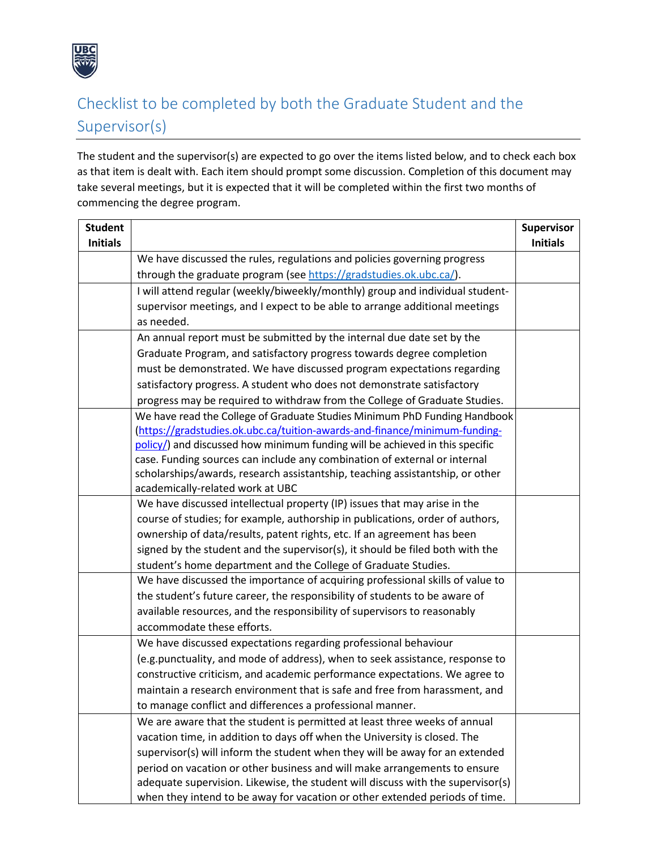

# Checklist to be completed by both the Graduate Student and the Supervisor(s)

The student and the supervisor(s) are expected to go over the items listed below, and to check each box as that item is dealt with. Each item should prompt some discussion. Completion of this document may take several meetings, but it is expected that it will be completed within the first two months of commencing the degree program.

| <b>Student</b><br><b>Initials</b> |                                                                                                                                                        | Supervisor<br><b>Initials</b> |
|-----------------------------------|--------------------------------------------------------------------------------------------------------------------------------------------------------|-------------------------------|
|                                   | We have discussed the rules, regulations and policies governing progress                                                                               |                               |
|                                   | through the graduate program (see https://gradstudies.ok.ubc.ca/).                                                                                     |                               |
|                                   | I will attend regular (weekly/biweekly/monthly) group and individual student-                                                                          |                               |
|                                   | supervisor meetings, and I expect to be able to arrange additional meetings                                                                            |                               |
|                                   | as needed.                                                                                                                                             |                               |
|                                   | An annual report must be submitted by the internal due date set by the                                                                                 |                               |
|                                   | Graduate Program, and satisfactory progress towards degree completion                                                                                  |                               |
|                                   | must be demonstrated. We have discussed program expectations regarding                                                                                 |                               |
|                                   | satisfactory progress. A student who does not demonstrate satisfactory                                                                                 |                               |
|                                   | progress may be required to withdraw from the College of Graduate Studies.                                                                             |                               |
|                                   | We have read the College of Graduate Studies Minimum PhD Funding Handbook                                                                              |                               |
|                                   | (https://gradstudies.ok.ubc.ca/tuition-awards-and-finance/minimum-funding-                                                                             |                               |
|                                   | policy/) and discussed how minimum funding will be achieved in this specific                                                                           |                               |
|                                   | case. Funding sources can include any combination of external or internal                                                                              |                               |
|                                   | scholarships/awards, research assistantship, teaching assistantship, or other                                                                          |                               |
|                                   | academically-related work at UBC                                                                                                                       |                               |
|                                   | We have discussed intellectual property (IP) issues that may arise in the                                                                              |                               |
|                                   | course of studies; for example, authorship in publications, order of authors,                                                                          |                               |
|                                   | ownership of data/results, patent rights, etc. If an agreement has been                                                                                |                               |
|                                   | signed by the student and the supervisor(s), it should be filed both with the                                                                          |                               |
|                                   | student's home department and the College of Graduate Studies.<br>We have discussed the importance of acquiring professional skills of value to        |                               |
|                                   |                                                                                                                                                        |                               |
|                                   | the student's future career, the responsibility of students to be aware of<br>available resources, and the responsibility of supervisors to reasonably |                               |
|                                   | accommodate these efforts.                                                                                                                             |                               |
|                                   | We have discussed expectations regarding professional behaviour                                                                                        |                               |
|                                   | (e.g.punctuality, and mode of address), when to seek assistance, response to                                                                           |                               |
|                                   | constructive criticism, and academic performance expectations. We agree to                                                                             |                               |
|                                   | maintain a research environment that is safe and free from harassment, and                                                                             |                               |
|                                   | to manage conflict and differences a professional manner.                                                                                              |                               |
|                                   | We are aware that the student is permitted at least three weeks of annual                                                                              |                               |
|                                   | vacation time, in addition to days off when the University is closed. The                                                                              |                               |
|                                   | supervisor(s) will inform the student when they will be away for an extended                                                                           |                               |
|                                   | period on vacation or other business and will make arrangements to ensure                                                                              |                               |
|                                   | adequate supervision. Likewise, the student will discuss with the supervisor(s)                                                                        |                               |
|                                   | when they intend to be away for vacation or other extended periods of time.                                                                            |                               |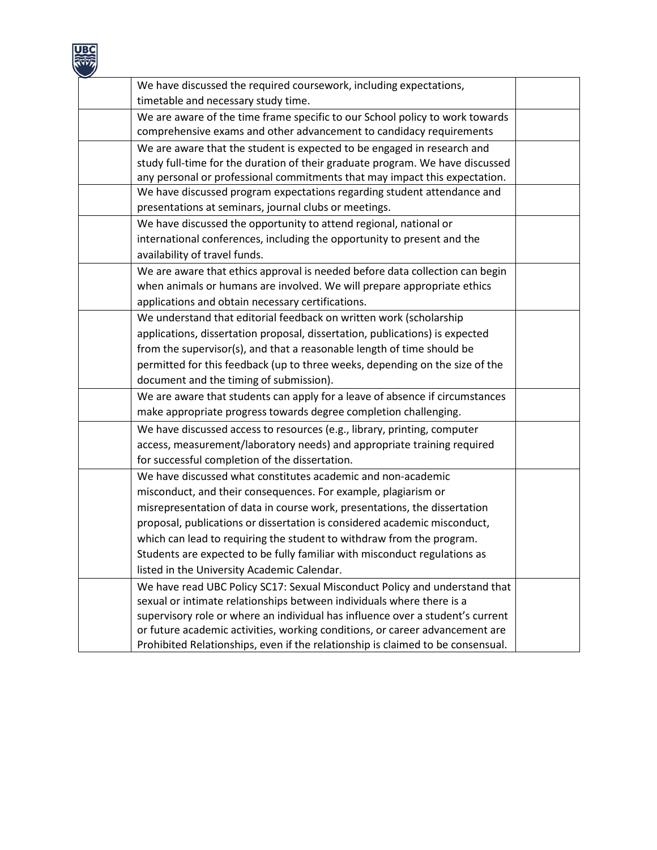

| We have discussed the required coursework, including expectations,              |  |
|---------------------------------------------------------------------------------|--|
| timetable and necessary study time.                                             |  |
| We are aware of the time frame specific to our School policy to work towards    |  |
| comprehensive exams and other advancement to candidacy requirements             |  |
| We are aware that the student is expected to be engaged in research and         |  |
| study full-time for the duration of their graduate program. We have discussed   |  |
| any personal or professional commitments that may impact this expectation.      |  |
| We have discussed program expectations regarding student attendance and         |  |
| presentations at seminars, journal clubs or meetings.                           |  |
| We have discussed the opportunity to attend regional, national or               |  |
| international conferences, including the opportunity to present and the         |  |
| availability of travel funds.                                                   |  |
| We are aware that ethics approval is needed before data collection can begin    |  |
| when animals or humans are involved. We will prepare appropriate ethics         |  |
| applications and obtain necessary certifications.                               |  |
| We understand that editorial feedback on written work (scholarship              |  |
| applications, dissertation proposal, dissertation, publications) is expected    |  |
| from the supervisor(s), and that a reasonable length of time should be          |  |
| permitted for this feedback (up to three weeks, depending on the size of the    |  |
| document and the timing of submission).                                         |  |
| We are aware that students can apply for a leave of absence if circumstances    |  |
| make appropriate progress towards degree completion challenging.                |  |
| We have discussed access to resources (e.g., library, printing, computer        |  |
| access, measurement/laboratory needs) and appropriate training required         |  |
| for successful completion of the dissertation.                                  |  |
| We have discussed what constitutes academic and non-academic                    |  |
| misconduct, and their consequences. For example, plagiarism or                  |  |
| misrepresentation of data in course work, presentations, the dissertation       |  |
| proposal, publications or dissertation is considered academic misconduct,       |  |
| which can lead to requiring the student to withdraw from the program.           |  |
| Students are expected to be fully familiar with misconduct regulations as       |  |
| listed in the University Academic Calendar.                                     |  |
| We have read UBC Policy SC17: Sexual Misconduct Policy and understand that      |  |
| sexual or intimate relationships between individuals where there is a           |  |
| supervisory role or where an individual has influence over a student's current  |  |
| or future academic activities, working conditions, or career advancement are    |  |
| Prohibited Relationships, even if the relationship is claimed to be consensual. |  |